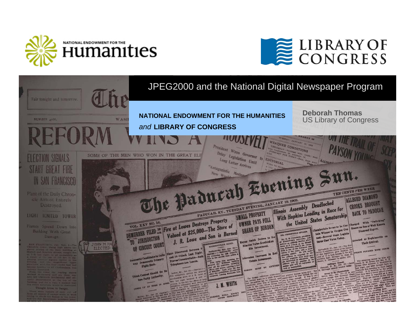



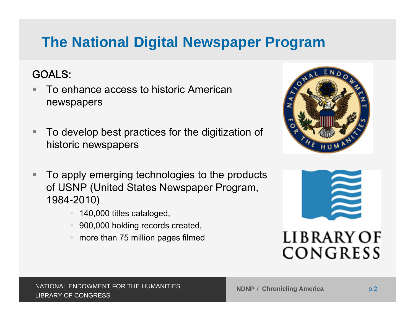# **The National Digital Newspaper Program**

### GOALS:

- ٠ To enhance access to historic American newspapers
- п To develop best practices for the digitization of historic newspapers



- п To apply emerging technologies to the products of USNP (United States Newspaper Program, 1984-2010)
	- 140,000 titles cataloged,
	- 900,000 holding records created,
	- more than 75 million pages filmed



## LIBRARY OF CONGRESS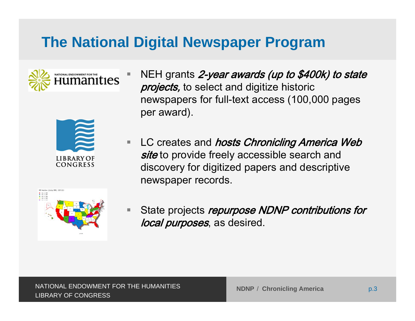# **The National Digital Newspaper Program**



h.



- NEH grants 2-year awards (up to \$400k) to state projects, to select and digitize historic newspapers for full-text access (100,000 pages per award).
- $\Box$ LC creates and *hosts Chronicling America Web site* to provide freely accessible search and discovery for digitized papers and descriptive newspaper records.



in. State projects repurpose NDNP contributions for local purposes, as desired.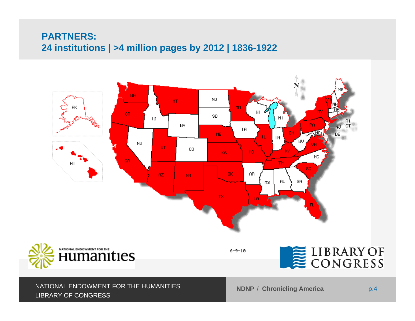#### **PARTNERS: 24 institutions | >4 million pages by 2012 | 1836-1922**



#### / **Chronicling America** p.4 NATIONAL ENDOWMENT FOR THE HUMANITIES LIBRARY OF CONGRESS

**NDNP** / Chronicling America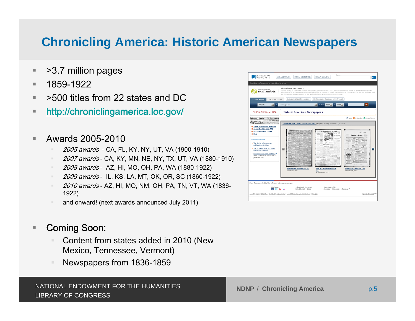## **Chronicling America: Historic American Newspapers**

- u. >3.7 million pages
- ٠ 1859-1922
- ш >500 titles from 22 states and DC
- ٠ <http://chroniclingamerica.loc.gov/>
- ۰. Awards 2005-2010
	- *2005 awards -* CA, FL, KY, NY, UT, VA (1900-1910)
	- *2007 awards* CA, KY, MN, NE, NY, TX, UT, VA (1880-1910)
	- *2008 awards* AZ, HI, MO, OH, PA, WA (1880-1922)
	- <u>◎ *2009 awards* IL, KS, LA, MT, OK, OR, SC (1860-1922</u>)
	- <u>◎ *2010 awards* AZ,</u> HI, MO, NM, OH, PA, TN, VT, WA (1836-1922)
	- and onward! (next awards announced July 2011)

#### П Coming Soon:

- Content from states added in 2010 (New Mexico, Tennessee, Vermont)
- ш Newspapers from 1836-1859

| Advanced Search<br><b>Search Pages</b>                                                         | Browse Digitized Newspapers.                          | the Library of Congress as part of the National Digital Newspaper Program (NDNP).<br>US Newspaper Directory, 1690-Present. |                                            |
|------------------------------------------------------------------------------------------------|-------------------------------------------------------|----------------------------------------------------------------------------------------------------------------------------|--------------------------------------------|
| All states<br>킈<br>CHRONICLING AMERICA                                                         | All newspapers<br><b>Historic American Newspapers</b> | • Gin 1960 3 10 1922 3                                                                                                     | $\infty$                                   |
| Baltussan Gatette, Am-Serk approva-<br>WALN' ROOSEVELT VINS THINK                              |                                                       |                                                                                                                            | <b>巴Print</b> BSubscribe BShare/Save       |
| <b>DAVA Dup</b><br><b>TOOLOGIA SECTION ANDERS BELLES</b><br><b>o</b> About Chronicling America |                                                       | 100 Years Ago Today: February 12, 1911   Pages currently available: 3,317,936                                              |                                            |
| O About the Site and API<br><b>O</b> Recommended Topics<br>o Help                              | <b>UNIVERSITY MISSOURIAN</b>                          | THE WASHINGTON BERALD -<br><b>WAS LIGHT TO BE</b><br>225<br><b>NAMES</b><br><b>PERMIT</b>                                  | Bembelen: 1 Auflage.<br><b>CALL</b>        |
| <b>More Resources</b><br>> The Serial & Government<br><b>Publications Division</b>             |                                                       | MELBURY WILLET<br><b><i>CRAN</i></b>                                                                                       |                                            |
| > Ask LC Newspaper & Current<br>Periodicals Librarian                                          | 圖                                                     | nas<br>to 20                                                                                                               | Э                                          |
| (part of the LC Flickr Commons<br>photostream)                                                 | эo                                                    | uman.<br>49.999.<br>111831<br><b>STATE</b>                                                                                 | <b>YMSP</b><br><b>SAWP</b>                 |
|                                                                                                | University Missourian. (6)<br>Columbia, Mo.           | The Washington herald.<br>(42)                                                                                             | Tombstone epitaph. (4)<br>Tombstone, Ariz. |
| > Historic Newspapers on Flickrof                                                              |                                                       |                                                                                                                            |                                            |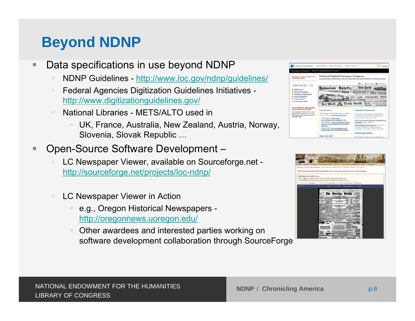## **Beyond NDNP**

- ٠ Data specifications in use beyond NDNP
	- NDNP Guidelines <http://www.loc.gov/ndnp/guidelines/>
	- Federal Agencies Digitization Guidelines Initiatives <http://www.digitizationguidelines.gov/>
	- National Libraries METS/ALTO used in
		- UK, France, Australia, New Zealand, Austria, Norway, Slovenia, Slovak Republic …
- h. Open-Source Software Development –
	- LC Newspaper Viewer, available on Sourceforge.net <http://sourceforge.net/projects/loc-ndnp/>
	- LC Newspaper Viewer in Action
		- e.g., Oregon Historical Newspapers <http://oregonnews.uoregon.edu/>
		- Other awardees and interested parties working on software development collaboration through SourceForge



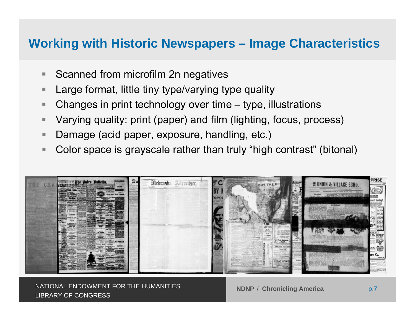### **Working with Historic Newspapers – Image Characteristics**

- $\blacksquare$ Scanned from microfilm 2n negatives
- **The State** Large format, little tiny type/varying type quality
- Г Changes in print technology over time – type, illustrations
- h. Varying quality: print (paper) and film (lighting, focus, process)
- п Damage (acid paper, exposure, handling, etc.)
- ٠ Color space is grayscale rather than truly "high contrast" (bitonal)



 / **Chronicling America** p.7 NATIONAL ENDOWMENT FOR THE HUMANITIES LIBRARY OF CONGRESS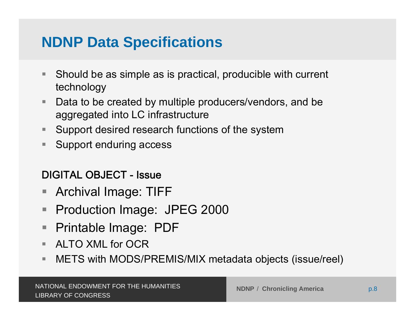## **NDNP Data Specifications**

- $\Box$  Should be as simple as is practical, producible with current technology
- in. Data to be created by multiple producers/vendors, and be aggregated into LC infrastructure
- $\overline{\phantom{a}}$ Support desired research functions of the system
- $\overline{\phantom{a}}$ Support enduring access

### DIGITAL OBJECT - Issue

- $\Box$ Archival Image: TIFF
- ш Production Image: JPEG 2000
- $\mathbb{R}^n$ Printable Image: PDF
- $\blacksquare$  . ALTO XML for OCR
- $\blacksquare$ METS with MODS/PREMIS/MIX metadata objects (issue/reel)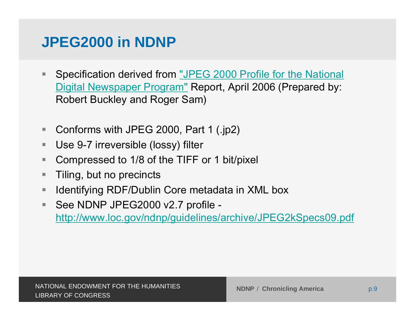## **JPEG2000 in NDNP**

- $\mathcal{L}_{\mathcal{A}}$  Specification derived from ["JPEG 2000 Profile for the National](http://www.loc.gov/ndnp/guidelines/docs/NDNP_JP2HistNewsProfile.pdf)  Digital Newspaper Program" Report, April 2006 (Prepared by: [Robert Buckley and Roger Sam\)](http://www.loc.gov/ndnp/guidelines/docs/NDNP_JP2HistNewsProfile.pdf)
- $\mathbb{R}^n$ Conforms with JPEG 2000, Part 1 (.jp2)
- $\mathcal{L}_{\mathcal{A}}$ Use 9-7 irreversible (lossy) filter
- L. Compressed to 1/8 of the TIFF or 1 bit/pixel
- ٠ Tiling, but no precincts
- $\blacksquare$ Identifying RDF/Dublin Core metadata in XML box
- ш See NDNP JPEG2000 v2.7 profile <http://www.loc.gov/ndnp/guidelines/archive/JPEG2kSpecs09.pdf>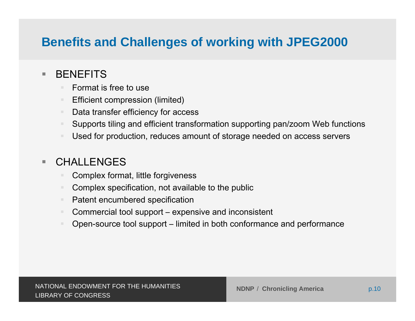## **Benefits and Challenges of working with JPEG2000**

#### $\mathbb{R}^n$ **BENEFITS**

- $\mathbf{u}$ Format is free to use
- $\blacksquare$ Efficient compression (limited)
- $\blacksquare$ Data transfer efficiency for access
- $\mathbb{R}^n$ Supports tiling and efficient transformation supporting pan/zoom Web functions
- $\blacksquare$ Used for production, reduces amount of storage needed on access servers

#### m. **CHALLENGES**

- Complex format, little forgiveness
- Complex specification, not available to the public
- $\blacksquare$ Patent encumbered specification
- $\blacksquare$ Commercial tool support – expensive and inconsistent
- $\blacksquare$ Open-source tool support – limited in both conformance and performance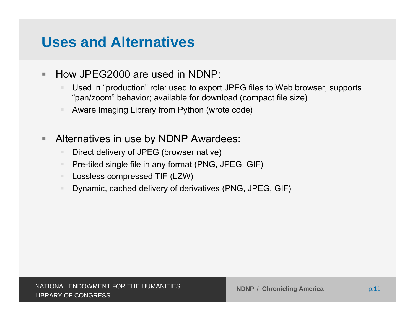## **Uses and Alternatives**

- $\blacksquare$  How JPEG2000 are used in NDNP:
	- Used in "production" role: used to export JPEG files to Web browser, supports "pan/zoom" behavior; available for download (compact file size)
	- $\mathbb{R}^n$ Aware Imaging Library from Python (wrote code)
- $\overline{\phantom{a}}$  Alternatives in use by NDNP Awardees:
	- Direct delivery of JPEG (browser native)
	- $\blacksquare$ Pre-tiled single file in any format (PNG, JPEG, GIF)
	- $\blacksquare$ Lossless compressed TIF (LZW)
	- $\mathbb{R}^n$ Dynamic, cached delivery of derivatives (PNG, JPEG, GIF)